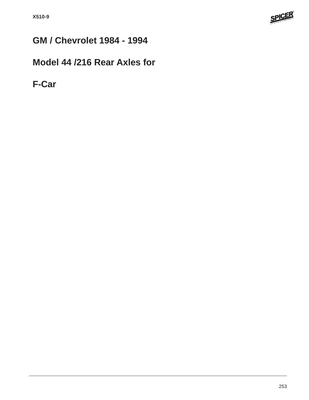

# **GM / Chevrolet 1984 - 1994**

## **Model 44 /216 Rear Axles for**

**F-Car**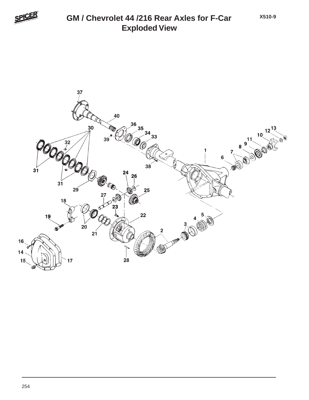

#### **Exploded View GM / Chevrolet 44 /216 Rear Axles for F-Car**

**X510-9**

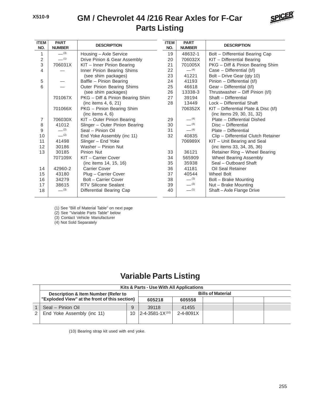#### **Parts Listing GM / Chevrolet 44 /216 Rear Axles for F-Car**



| <b>ITEM</b><br>NO. | <b>PART</b><br><b>NUMBER</b> | <b>DESCRIPTION</b>               | <b>ITEM</b><br>NO. | <b>PART</b><br><b>NUMBER</b> | <b>DESCRIPTION</b>                        |
|--------------------|------------------------------|----------------------------------|--------------------|------------------------------|-------------------------------------------|
| 1                  | $-^{(3)}$                    | Housing - Axle Service           | 19                 | 48632-1                      | Bolt - Differential Bearing Cap           |
| 2                  | $-$ (1)                      | Drive Pinion & Gear Assembly     | 20                 | 706032X                      | KIT - Differential Bearing                |
| 3                  | 706031X                      | KIT - Inner Pinion Bearing       | 21                 | 701005X                      | PKG - Diff & Pinion Bearing Shim          |
| 4                  |                              | Inner Pinion Bearing Shims       | 22                 | $-$ (4)                      | Case - Differential (t/l)                 |
|                    |                              | (see shim packages)              | 23                 | 41221                        | Bolt - Drive Gear (qty 10)                |
| 5                  |                              | Baffle - Pinion Bearing          | 24                 | 41193                        | Pinion - Differential (t/l)               |
| 6                  |                              | Outer Pinion Bearing Shims       | 25                 | 46618                        | Gear - Differential (t/l)                 |
|                    |                              | (see shim packages)              | 26                 | 13338-3                      | Thrustwasher - Diff Pinion (t/l)          |
|                    | 701067X                      | PKG - Diff & Pinion Bearing Shim | 27                 | 39194                        | Shaft - Differential                      |
|                    |                              | (inc items 4, 6, 21)             | 28                 | 13449                        | Lock - Differential Shaft                 |
|                    | 701066X                      | PKG - Pinion Bearing Shim        |                    | 706352X                      | $KIT$ – Differential Plate & Disc $(t/I)$ |
|                    |                              | (inc items $4, 6$ )              |                    |                              | (inc items 29, 30, 31, 32)                |
| 7                  | 706030X                      | KIT - Outer Pinion Bearing       | 29                 | $-$ (4)                      | Plate - Differential Dished               |
| 8                  | 41012                        | Slinger - Outer Pinion Bearing   | 30                 | $-$ (4)                      | Disc - Differential                       |
| 9                  | $-$ (2)                      | Seal - Pinion Oil                | 31                 | $-$ (4)                      | Plate - Differential                      |
| 10                 | $-$ (2)                      | End Yoke Assembly (inc 11)       | 32                 | 40835                        | Clip - Differential Clutch Retainer       |
| 11                 | 41498                        | Slinger - End Yoke               |                    | 706989X                      | KIT - Unit Bearing and Seal               |
| 12                 | 30186                        | Washer - Pinion Nut              |                    |                              | (inc items 33, 34, 35, 36)                |
| 13                 | 30185                        | Pinion Nut                       | 33                 | 36121                        | Retainer Ring - Wheel Bearing             |
|                    | 707109X                      | KIT - Carrier Cover              | 34                 | 565909                       | Wheel Bearing Assembly                    |
|                    |                              | (inc items 14, 15, 16)           | 35                 | 35938                        | Seal - Outboard Shaft                     |
| 14                 | 42960-2                      | <b>Carrier Cover</b>             | 36                 | 41181                        | Oil Seal Retainer                         |
| 15                 | 43180                        | Plug - Carrier Cover             | 37                 | 40544                        | Wheel Bolt                                |
| 16                 | 34279                        | Bolt - Carrier Cover             | 38                 | $-^{(3)}$                    | Bolt - Brake Mounting                     |
| 17                 | 38615                        | <b>RTV Silicone Sealant</b>      | 39                 | $-^{(3)}$                    | Nut - Brake Mounting                      |
| 18                 | $-^{(3)}$                    | Differential Bearing Cap         | 40                 | $-$ (1)                      | Shaft - Axle Flange Drive                 |
|                    |                              |                                  |                    |                              |                                           |

(1) See "Bill of Material Table" on next page

(2) See "Variable Parts Table" below

(3) Contact Vehicle Manufacturer

(4) Not Sold Separately

### **Variable Parts Listing**

| Kits & Parts - Use With All Applications      |                          |                              |           |  |  |  |  |
|-----------------------------------------------|--------------------------|------------------------------|-----------|--|--|--|--|
| Description & Item Number (Refer to           | <b>Bills of Material</b> |                              |           |  |  |  |  |
| "Exploded View" at the front of this section) | 605218                   | 605558                       |           |  |  |  |  |
| Seal - Pinion Oil                             | 9                        | 39118                        | 41455     |  |  |  |  |
| End Yoke Assembly (inc 11)                    | 10                       | $ 2 - 4 - 3581 - 1X^{(10)} $ | 2-4-8091X |  |  |  |  |
|                                               |                          |                              |           |  |  |  |  |

(10) Bearing strap kit used with end yoke.